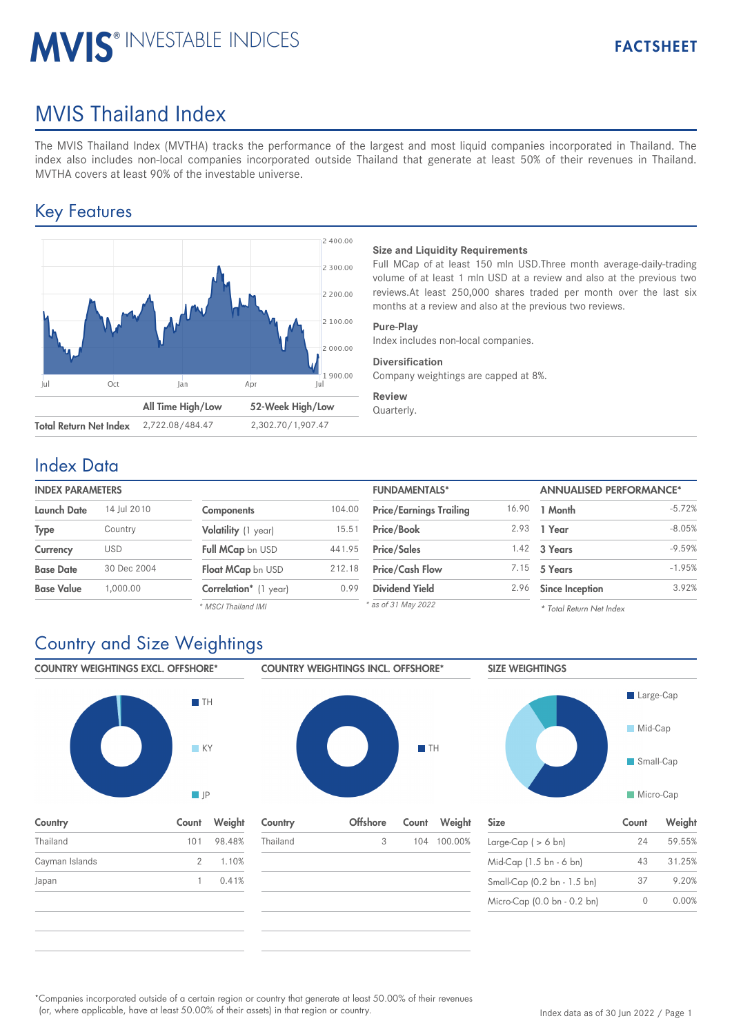# **MVIS® INVESTABLE INDICES**

# MVIS Thailand Index

The MVIS Thailand Index (MVTHA) tracks the performance of the largest and most liquid companies incorporated in Thailand. The index also includes non-local companies incorporated outside Thailand that generate at least 50% of their revenues in Thailand. MVTHA covers at least 90% of the investable universe.

## Key Features



#### **Size and Liquidity Requirements**

Full MCap of at least 150 mln USD.Three month average-daily-trading volume of at least 1 mln USD at a review and also at the previous two reviews.At least 250,000 shares traded per month over the last six months at a review and also at the previous two reviews.

#### **Pure-Play**

Index includes non-local companies.

#### **Diversification**

Company weightings are capped at 8%.

#### **Review**

Quarterly.

### Index Data

| <b>INDEX PARAMETERS</b> |             |                       |        | <b>FUNDAMENTALS*</b>           |       | <b>ANNUALISED PERFORMANCE*</b> |          |
|-------------------------|-------------|-----------------------|--------|--------------------------------|-------|--------------------------------|----------|
| <b>Launch Date</b>      | 14 Jul 2010 | Components            | 104.00 | <b>Price/Earnings Trailing</b> | 16.90 | 1 Month                        | $-5.72%$ |
| <b>Type</b>             | Country     | Volatility (1 year)   | 15.51  | <b>Price/Book</b>              | 2.93  | 1 Year                         | $-8.05%$ |
| Currency                | <b>USD</b>  | Full MCap bn USD      | 441.95 | <b>Price/Sales</b>             | 1.42  | 3 Years                        | $-9.59%$ |
| <b>Base Date</b>        | 30 Dec 2004 | Float MCap bn USD     | 212.18 | <b>Price/Cash Flow</b>         | 7.15  | 5 Years                        | $-1.95%$ |
| <b>Base Value</b>       | 00.000.     | Correlation* (1 year) | 0.99   | <b>Dividend Yield</b>          | 2.96  | <b>Since Inception</b>         | 3.92%    |
|                         |             | * MSCI Thailand IMI   |        | * as of 31 May 2022            |       | * Total Return Net Index       |          |

*\* MSCI Thailand IMI*

#### *\* Total Return Net Index*

# Country and Size Weightings

COUNTRY WEIGHTINGS EXCL. OFFSHORE\*



Country Count Weight

Thailand 101 98.48% Cayman Islands 2 1.10% Japan 1 0.41%



| Thailand<br>3 | 104 100.00% | Large-Cap $( > 6$ bn)       | 24 | 59.55% |
|---------------|-------------|-----------------------------|----|--------|
|               |             |                             |    |        |
|               |             | Mid-Cap (1.5 bn - 6 bn)     | 43 | 31.25% |
|               |             | Small-Cap (0.2 bn - 1.5 bn) | 37 | 9.20%  |
|               |             | Micro-Cap (0.0 bn - 0.2 bn) | 0  | 0.00%  |



| <b>Size</b>                 | Count | Weight |
|-----------------------------|-------|--------|
| Large-Cap ( $> 6$ bn)       | 24    | 59.55% |
| Mid-Cap (1.5 bn - 6 bn)     | 43    | 31.25% |
| Small-Cap (0.2 bn - 1.5 bn) | 37    | 9.20%  |
| Micro-Cap (0.0 bn - 0.2 bn) |       | 0.00%  |

Companies incorporated outside of a certain region or country that generate at least 50.00% of their revenues \* (or, where applicable, have at least 50.00% of their assets) in that region or country.